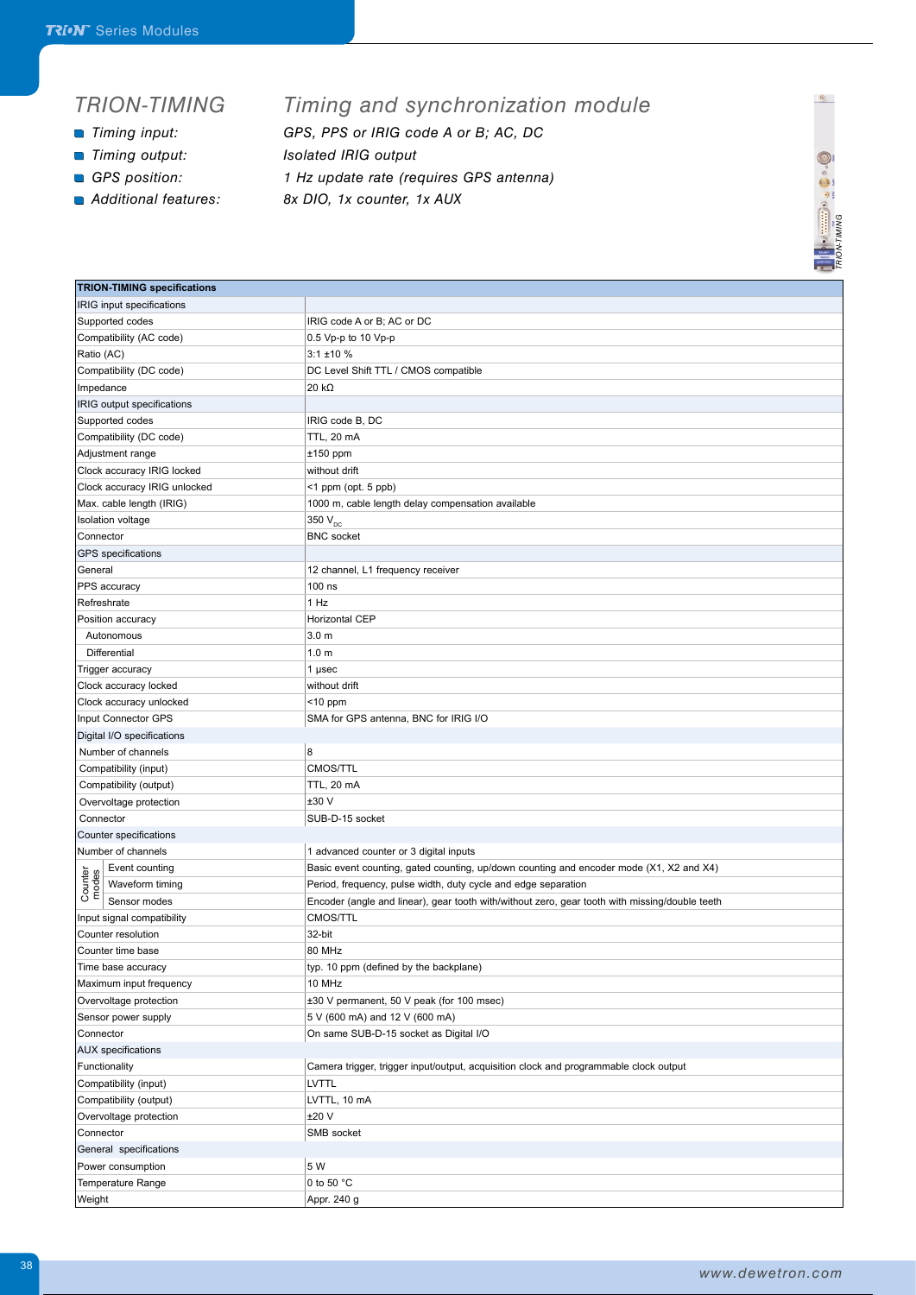## *TRION-TIMING*

- 
- *Timing output: Isolated IRIG output*
- 
- 

## *Timing and synchronization module*

- *Timing input: GPS, PPS or IRIG code A or B; AC, DC*
	-
- *GPS position: 1 Hz update rate (requires GPS antenna)*
- *Additional features: 8x DIO, 1x counter, 1x AUX*



 $\bullet$ 

|                                     | <b><i><u>Part 1</u></i></b>                                                                    |
|-------------------------------------|------------------------------------------------------------------------------------------------|
| <b>TRION-TIMING specifications</b>  |                                                                                                |
| IRIG input specifications           |                                                                                                |
| Supported codes                     | IRIG code A or B; AC or DC                                                                     |
| Compatibility (AC code)             | 0.5 Vp-p to 10 Vp-p                                                                            |
| Ratio (AC)                          | $3:1 \pm 10 \%$                                                                                |
| Compatibility (DC code)             | DC Level Shift TTL / CMOS compatible                                                           |
| Impedance                           | $20 k\Omega$                                                                                   |
| IRIG output specifications          |                                                                                                |
| Supported codes                     | IRIG code B, DC                                                                                |
| Compatibility (DC code)             | TTL, 20 mA                                                                                     |
| Adjustment range                    | $±150$ ppm                                                                                     |
| Clock accuracy IRIG locked          | without drift                                                                                  |
| Clock accuracy IRIG unlocked        | <1 ppm (opt. 5 ppb)                                                                            |
| Max. cable length (IRIG)            | 1000 m, cable length delay compensation available                                              |
| Isolation voltage                   | 350 V <sub>DC</sub>                                                                            |
| Connector                           | <b>BNC</b> socket                                                                              |
| GPS specifications                  |                                                                                                |
| General                             | 12 channel, L1 frequency receiver                                                              |
| PPS accuracy                        | 100 ns                                                                                         |
| Refreshrate                         | 1 Hz                                                                                           |
| Position accuracy                   | Horizontal CEP                                                                                 |
| Autonomous                          | 3.0 <sub>m</sub>                                                                               |
| Differential                        | 1.0 <sub>m</sub>                                                                               |
| Trigger accuracy                    | 1 µsec                                                                                         |
| Clock accuracy locked               | without drift                                                                                  |
| Clock accuracy unlocked             | $<$ 10 ppm                                                                                     |
| Input Connector GPS                 | SMA for GPS antenna, BNC for IRIG I/O                                                          |
| Digital I/O specifications          |                                                                                                |
| Number of channels                  | 8                                                                                              |
| Compatibility (input)               | CMOS/TTL                                                                                       |
| Compatibility (output)              | TTL, 20 mA                                                                                     |
| Overvoltage protection              | ±30V                                                                                           |
| Connector                           | SUB-D-15 socket                                                                                |
| Counter specifications              |                                                                                                |
| Number of channels                  | 1 advanced counter or 3 digital inputs                                                         |
| Event counting                      | Basic event counting, gated counting, up/down counting and encoder mode (X1, X2 and X4)        |
| Counter<br>modes<br>Waveform timing | Period, frequency, pulse width, duty cycle and edge separation                                 |
| Sensor modes                        | Encoder (angle and linear), gear tooth with/without zero, gear tooth with missing/double teeth |
| Input signal compatibility          | CMOS/TTL                                                                                       |
| Counter resolution                  | 32-bit                                                                                         |
| Counter time base                   | 80 MHz                                                                                         |
| Time base accuracy                  | typ. 10 ppm (defined by the backplane)                                                         |
| Maximum input frequency             | 10 MHz                                                                                         |
| Overvoltage protection              | ±30 V permanent, 50 V peak (for 100 msec)                                                      |
| Sensor power supply                 | 5 V (600 mA) and 12 V (600 mA)                                                                 |
| Connector                           | On same SUB-D-15 socket as Digital I/O                                                         |
| <b>AUX</b> specifications           |                                                                                                |
| Functionality                       | Camera trigger, trigger input/output, acquisition clock and programmable clock output          |
| Compatibility (input)               | LVTTL                                                                                          |
| Compatibility (output)              | LVTTL, 10 mA                                                                                   |
|                                     | ±20 V                                                                                          |
| Overvoltage protection              | SMB socket                                                                                     |
| Connector                           |                                                                                                |
| General specifications              |                                                                                                |
| Power consumption                   | 5 W                                                                                            |
| Temperature Range                   | 0 to 50 °C                                                                                     |
| Weight                              | Appr. 240 g                                                                                    |